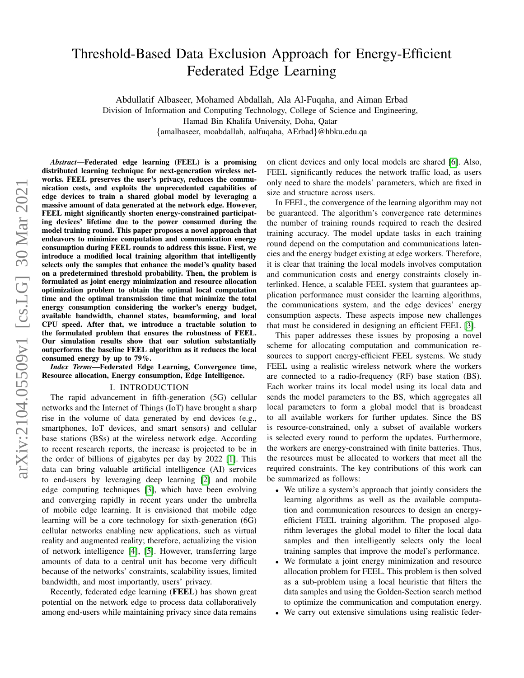# Threshold-Based Data Exclusion Approach for Energy-Efficient Federated Edge Learning

Abdullatif Albaseer, Mohamed Abdallah, Ala Al-Fuqaha, and Aiman Erbad Division of Information and Computing Technology, College of Science and Engineering,

Hamad Bin Khalifa University, Doha, Qatar

{amalbaseer, moabdallah, aalfuqaha, AErbad}@hbku.edu.qa

*Abstract*—Federated edge learning (FEEL) is a promising distributed learning technique for next-generation wireless networks. FEEL preserves the user's privacy, reduces the communication costs, and exploits the unprecedented capabilities of edge devices to train a shared global model by leveraging a massive amount of data generated at the network edge. However, FEEL might significantly shorten energy-constrained participating devices' lifetime due to the power consumed during the model training round. This paper proposes a novel approach that endeavors to minimize computation and communication energy consumption during FEEL rounds to address this issue. First, we introduce a modified local training algorithm that intelligently selects only the samples that enhance the model's quality based on a predetermined threshold probability. Then, the problem is formulated as joint energy minimization and resource allocation optimization problem to obtain the optimal local computation time and the optimal transmission time that minimize the total energy consumption considering the worker's energy budget, available bandwidth, channel states, beamforming, and local CPU speed. After that, we introduce a tractable solution to the formulated problem that ensures the robustness of FEEL. Our simulation results show that our solution substantially outperforms the baseline FEEL algorithm as it reduces the local consumed energy by up to 79%.

*Index Terms*—Federated Edge Learning, Convergence time, Resource allocation, Energy consumption, Edge Intelligence.

#### I. INTRODUCTION

The rapid advancement in fifth-generation (5G) cellular networks and the Internet of Things (IoT) have brought a sharp rise in the volume of data generated by end devices (e.g., smartphones, IoT devices, and smart sensors) and cellular base stations (BSs) at the wireless network edge. According to recent research reports, the increase is projected to be in the order of billions of gigabytes per day by 2022 [\[1\]](#page-5-0). This data can bring valuable artificial intelligence (AI) services to end-users by leveraging deep learning [\[2\]](#page-5-1) and mobile edge computing techniques [\[3\]](#page-5-2), which have been evolving and converging rapidly in recent years under the umbrella of mobile edge learning. It is envisioned that mobile edge learning will be a core technology for sixth-generation (6G) cellular networks enabling new applications, such as virtual reality and augmented reality; therefore, actualizing the vision of network intelligence [\[4\]](#page-5-3), [\[5\]](#page-5-4). However, transferring large amounts of data to a central unit has become very difficult because of the networks' constraints, scalability issues, limited bandwidth, and most importantly, users' privacy.

Recently, federated edge learning (FEEL) has shown great potential on the network edge to process data collaboratively among end-users while maintaining privacy since data remains on client devices and only local models are shared [\[6\]](#page-5-5). Also, FEEL significantly reduces the network traffic load, as users only need to share the models' parameters, which are fixed in size and structure across users.

In FEEL, the convergence of the learning algorithm may not be guaranteed. The algorithm's convergence rate determines the number of training rounds required to reach the desired training accuracy. The model update tasks in each training round depend on the computation and communications latencies and the energy budget existing at edge workers. Therefore, it is clear that training the local models involves computation and communication costs and energy constraints closely interlinked. Hence, a scalable FEEL system that guarantees application performance must consider the learning algorithms, the communications system, and the edge devices' energy consumption aspects. These aspects impose new challenges that must be considered in designing an efficient FEEL [\[3\]](#page-5-2).

This paper addresses these issues by proposing a novel scheme for allocating computation and communication resources to support energy-efficient FEEL systems. We study FEEL using a realistic wireless network where the workers are connected to a radio-frequency (RF) base station (BS). Each worker trains its local model using its local data and sends the model parameters to the BS, which aggregates all local parameters to form a global model that is broadcast to all available workers for further updates. Since the BS is resource-constrained, only a subset of available workers is selected every round to perform the updates. Furthermore, the workers are energy-constrained with finite batteries. Thus, the resources must be allocated to workers that meet all the required constraints. The key contributions of this work can be summarized as follows:

- We utilize a system's approach that jointly considers the learning algorithms as well as the available computation and communication resources to design an energyefficient FEEL training algorithm. The proposed algorithm leverages the global model to filter the local data samples and then intelligently selects only the local training samples that improve the model's performance.
- We formulate a joint energy minimization and resource allocation problem for FEEL. This problem is then solved as a sub-problem using a local heuristic that filters the data samples and using the Golden-Section search method to optimize the communication and computation energy.
- We carry out extensive simulations using realistic feder-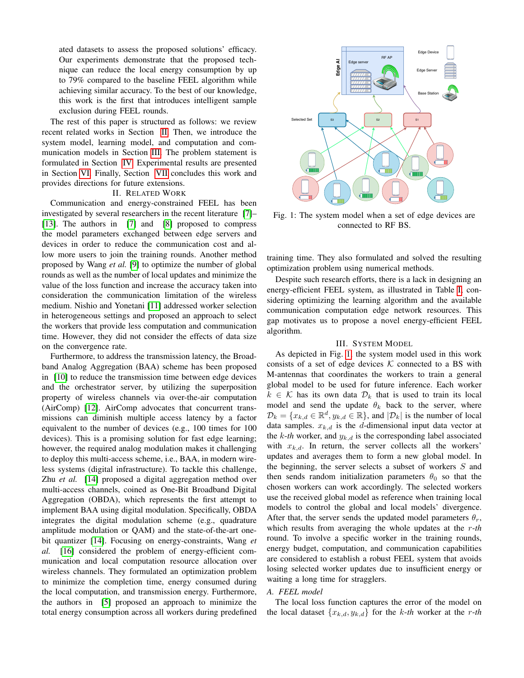ated datasets to assess the proposed solutions' efficacy. Our experiments demonstrate that the proposed technique can reduce the local energy consumption by up to 79% compared to the baseline FEEL algorithm while achieving similar accuracy. To the best of our knowledge, this work is the first that introduces intelligent sample exclusion during FEEL rounds.

The rest of this paper is structured as follows: we review recent related works in Section [II.](#page-1-0) Then, we introduce the system model, learning model, and computation and communication models in Section [III.](#page-1-1) The problem statement is formulated in Section [IV.](#page-3-0) Experimental results are presented in Section [VI.](#page-4-0) Finally, Section [VII](#page-5-6) concludes this work and provides directions for future extensions.

#### II. RELATED WORK

<span id="page-1-0"></span>Communication and energy-constrained FEEL has been investigated by several researchers in the recent literature [\[7\]](#page-5-7)– [\[13\]](#page-5-8). The authors in [\[7\]](#page-5-7) and [\[8\]](#page-5-9) proposed to compress the model parameters exchanged between edge servers and devices in order to reduce the communication cost and allow more users to join the training rounds. Another method proposed by Wang *et al.* [\[9\]](#page-5-10) to optimize the number of global rounds as well as the number of local updates and minimize the value of the loss function and increase the accuracy taken into consideration the communication limitation of the wireless medium. Nishio and Yonetani [\[11\]](#page-5-11) addressed worker selection in heterogeneous settings and proposed an approach to select the workers that provide less computation and communication time. However, they did not consider the effects of data size on the convergence rate.

Furthermore, to address the transmission latency, the Broadband Analog Aggregation (BAA) scheme has been proposed in [\[10\]](#page-5-12) to reduce the transmission time between edge devices and the orchestrator server, by utilizing the superposition property of wireless channels via over-the-air computation (AirComp) [\[12\]](#page-5-13). AirComp advocates that concurrent transmissions can diminish multiple access latency by a factor equivalent to the number of devices (e.g., 100 times for 100 devices). This is a promising solution for fast edge learning; however, the required analog modulation makes it challenging to deploy this multi-access scheme, i.e., BAA, in modern wireless systems (digital infrastructure). To tackle this challenge, Zhu *et al.* [\[14\]](#page-5-14) proposed a digital aggregation method over multi-access channels, coined as One-Bit Broadband Digital Aggregation (OBDA), which represents the first attempt to implement BAA using digital modulation. Specifically, OBDA integrates the digital modulation scheme (e.g., quadrature amplitude modulation or QAM) and the state-of-the-art onebit quantizer [\[14\]](#page-5-14). Focusing on energy-constraints, Wang *et al.* [\[16\]](#page-5-15) considered the problem of energy-efficient communication and local computation resource allocation over wireless channels. They formulated an optimization problem to minimize the completion time, energy consumed during the local computation, and transmission energy. Furthermore, the authors in [\[5\]](#page-5-4) proposed an approach to minimize the Our experiments channels are the proposed team in the proposed team in the consumer state of the same of the same of the same of the same of the same of the same of the same of the same of the same of the same of the same

<span id="page-1-2"></span>

Fig. 1: The system model when a set of edge devices are connected to RF BS.

training time. They also formulated and solved the resulting optimization problem using numerical methods.

Despite such research efforts, there is a lack in designing an energy-efficient FEEL system, as illustrated in Table [I,](#page-2-0) considering optimizing the learning algorithm and the available communication computation edge network resources. This gap motivates us to propose a novel energy-efficient FEEL algorithm.

## III. SYSTEM MODEL

<span id="page-1-1"></span>As depicted in Fig. [1,](#page-1-2) the system model used in this work consists of a set of edge devices  $K$  connected to a BS with M-antennas that coordinates the workers to train a general global model to be used for future inference. Each worker  $k \in \mathcal{K}$  has its own data  $\mathcal{D}_k$  that is used to train its local model and send the update  $\theta_k$  back to the server, where  $\mathcal{D}_k = \{x_{k,d} \in \mathbb{R}^d, y_{k,d} \in \mathbb{R}\},$  and  $|\mathcal{D}_k|$  is the number of local data samples.  $x_{k,d}$  is the d-dimensional input data vector at the  $k$ -*th* worker, and  $y_{k,d}$  is the corresponding label associated with  $x_{k,d}$ . In return, the server collects all the workers' updates and averages them to form a new global model. In the beginning, the server selects a subset of workers S and then sends random initialization parameters  $\theta_0$  so that the chosen workers can work accordingly. The selected workers use the received global model as reference when training local models to control the global and local models' divergence. After that, the server sends the updated model parameters  $\theta_r$ , which results from averaging the whole updates at the r-*th* round. To involve a specific worker in the training rounds, energy budget, computation, and communication capabilities are considered to establish a robust FEEL system that avoids losing selected worker updates due to insufficient energy or waiting a long time for stragglers.

## *A. FEEL model*

The local loss function captures the error of the model on the local dataset  $\{x_{k,d}, y_{k,d}\}\$  for the k-th worker at the r-th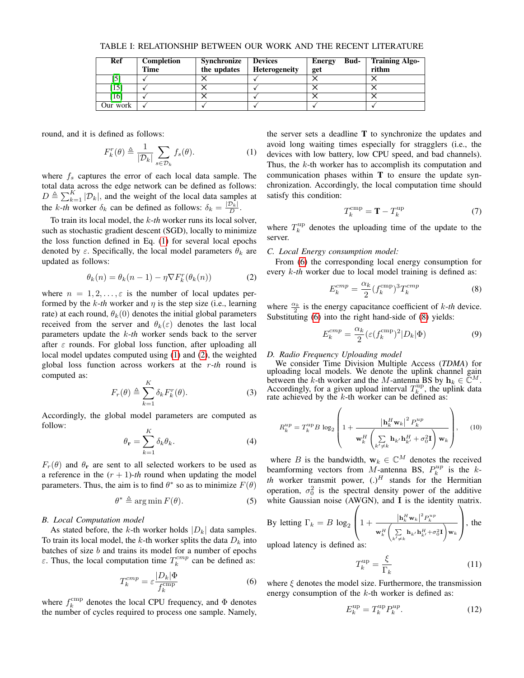<span id="page-2-0"></span>

| Ref      | Completion | Synchronize | <b>Devices</b>       | Bud-<br>Energy | <b>Training Algo-</b> |
|----------|------------|-------------|----------------------|----------------|-----------------------|
|          | Time       | the updates | <b>Heterogeneity</b> | get            | rithm                 |
| IJ       |            |             |                      |                |                       |
| [15]     |            |             |                      |                |                       |
| [16]     |            |             |                      |                |                       |
| Our work |            |             |                      |                |                       |

TABLE I: RELATIONSHIP BETWEEN OUR WORK AND THE RECENT LITERATURE

round, and it is defined as follows:

<span id="page-2-1"></span>
$$
F_k^r(\theta) \triangleq \frac{1}{|\mathcal{D}_k|} \sum_{s \in \mathcal{D}_k} f_s(\theta). \tag{1}
$$

where  $f_s$  captures the error of each local data sample. The total data across the edge network can be defined as follows:  $D \triangleq \sum_{k=1}^{K} |\mathcal{D}_k|$ , and the weight of the local data samples at the *k*-*th* worker  $\delta_k$  can be defined as follows:  $\delta_k = \frac{|\mathcal{D}_k|}{D}$ .

To train its local model, the k-*th* worker runs its local solver, such as stochastic gradient descent (SGD), locally to minimize the loss function defined in Eq. [\(1\)](#page-2-1) for several local epochs denoted by  $\varepsilon$ . Specifically, the local model parameters  $\theta_k$  are updated as follows:

<span id="page-2-2"></span>
$$
\theta_k(n) = \theta_k(n-1) - \eta \nabla F_k^r(\theta_k(n)) \tag{2}
$$

where  $n = 1, 2, \ldots, \varepsilon$  is the number of local updates performed by the  $k$ -*th* worker and  $\eta$  is the step size (i.e., learning rate) at each round,  $\theta_k(0)$  denotes the initial global parameters received from the server and  $\theta_k(\varepsilon)$  denotes the last local parameters update the k-*th* worker sends back to the server after  $\varepsilon$  rounds. For global loss function, after uploading all local model updates computed using [\(1\)](#page-2-1) and [\(2\)](#page-2-2), the weighted global loss function across workers at the r-*th* round is computed as:

$$
F_r(\theta) \triangleq \sum_{k=1}^{K} \delta_k F_k^r(\theta). \tag{3}
$$

Accordingly, the global model parameters are computed as follow:

$$
\theta_{\mathbf{r}} = \sum_{k=1}^{K} \delta_k \theta_k.
$$
 (4)

 $F_r(\theta)$  and  $\theta_r$  are sent to all selected workers to be used as a reference in the  $(r + 1)$ -*th* round when updating the model parameters. Thus, the aim is to find  $\theta^*$  so as to minimize  $F(\theta)$ 

$$
\theta^* \triangleq \arg \min F(\theta). \tag{5}
$$

#### *B. Local Computation model*

As stated before, the k-th worker holds  $|D_k|$  data samples. To train its local model, the  $k$ -th worker splits the data  $D_k$  into batches of size  $b$  and trains its model for a number of epochs ε. Thus, the local computation time  $T_k^{cmp}$  can be defined as:

$$
T_k^{cmp} = \varepsilon \frac{|D_k| \Phi}{f_k^{cmp}} \tag{6}
$$

where  $f_k^{\text{cmp}}$  denotes the local CPU frequency, and  $\Phi$  denotes the number of cycles required to process one sample. Namely,

the server sets a deadline  $T$  to synchronize the updates and avoid long waiting times especially for stragglers (i.e., the devices with low battery, low CPU speed, and bad channels). Thus, the k-th worker has to accomplish its computation and communication phases within T to ensure the update synchronization. Accordingly, the local computation time should satisfy this condition:

<span id="page-2-7"></span>
$$
T_k^{\text{cmp}} = \mathbf{T} - T_k^{\text{up}} \tag{7}
$$

where  $T_k^{\text{up}}$  denotes the uploading time of the update to the server.

#### *C. Local Energy consumption model:*

From [\(6\)](#page-2-3) the corresponding local energy consumption for every  $k$ -th worker due to local model training is defined as:

<span id="page-2-4"></span>
$$
E_k^{cmp} = \frac{\alpha_k}{2} (f_k^{cmp})^3 T_k^{cmp}
$$
 (8)

where  $\frac{\alpha_k}{2}$  is the energy capacitance coefficient of *k*-*th* device. Substituting [\(6\)](#page-2-3) into the right hand-side of [\(8\)](#page-2-4) yields:

<span id="page-2-5"></span>
$$
E_k^{cmp} = \frac{\alpha_k}{2} (\varepsilon (f_k^{cmp})^2 |D_k|\Phi)
$$
\n(9)

## *D. Radio Frequency Uploading model*

We consider Time Division Multiple Access (*TDMA*) for uploading local models. We denote the uplink channel gain between the k-th worker and the M-antenna BS by  $\mathbf{h}_k \in \widetilde{\mathbb{C}}^M$ . Accordingly, for a given upload interval  $T_{k}^{\text{up}}$ , the uplink data rate achieved by the  $k$ -th worker can be defined as:

$$
R_k^{up} = T_k^{up} B \log_2 \left( 1 + \frac{\left| \mathbf{h}_k^H \mathbf{w}_k \right|^2 P_k^{up}}{\mathbf{w}_k^H \left( \sum \limits_{k' \neq k} \mathbf{h}_{k'} \mathbf{h}_{k'}^H + \sigma_0^2 \mathbf{I} \right) \mathbf{w}_k} \right), \quad (10)
$$

where B is the bandwidth,  $w_k \in \mathbb{C}^M$  denotes the received beamforming vectors from M-antenna BS,  $P_k^{up}$  is the k*th* worker transmit power,  $(.)^H$  stands for the Hermitian operation,  $\sigma_0^2$  is the spectral density power of the additive white Gaussian noise (AWGN), and  $I$  is the identity matrix.

By letting 
$$
\Gamma_k = B \log_2 \left( 1 + \frac{|\mathbf{h}_k^H \mathbf{w}_k|^2 P_k^{up}}{\mathbf{w}_k^H \left( \sum\limits_{k' \neq k} \mathbf{h}_{k'} \mathbf{h}_{k'}^H + \sigma_0^2 \mathbf{I} \right) \mathbf{w}_k} \right)
$$
, the

upload latency is defined as:

<span id="page-2-6"></span>
$$
T_k^{\text{up}} = \frac{\xi}{\Gamma_k} \tag{11}
$$

<span id="page-2-3"></span>where  $\xi$  denotes the model size. Furthermore, the transmission energy consumption of the  $k$ -th worker is defined as:

$$
E_k^{\text{up}} = T_k^{\text{up}} P_k^{\text{up}}.
$$
 (12)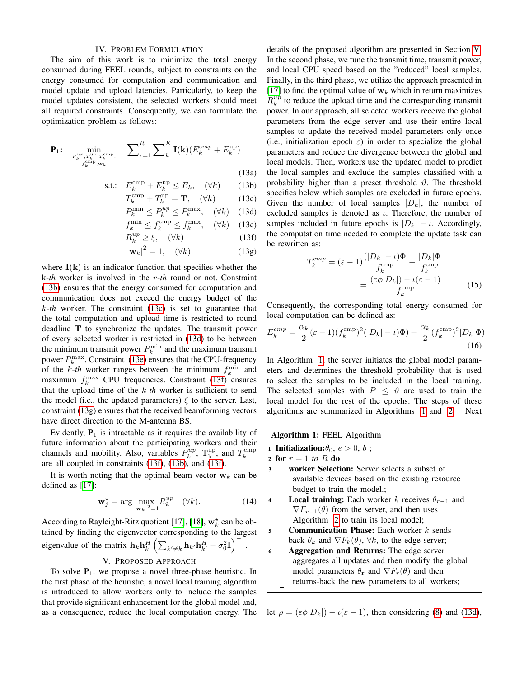#### IV. PROBLEM FORMULATION

<span id="page-3-0"></span>The aim of this work is to minimize the total energy consumed during FEEL rounds, subject to constraints on the energy consumed for computation and communication and model update and upload latencies. Particularly, to keep the model updates consistent, the selected workers should meet all required constraints. Consequently, we can formulate the optimization problem as follows:

$$
\mathbf{P}_{1}: \min_{\substack{P_{k}^{up}, T_{k}^{\text{up}}, T_{k}^{\text{comp}} \\ f_{k}^{\text{cmp}}, \mathbf{w}_{k}}} \sum_{r=1}^{R} \sum_{k}^{K} \mathbf{I}(\mathbf{k}) (E_{k}^{cmp} + E_{k}^{\text{up}})
$$
\n(13a)

$$
\text{s.t.:} \quad E_k^{\text{cmp}} + E_k^{\text{up}} \le E_k, \quad (\forall k) \tag{13b}
$$

$$
T_k^{\text{cmp}} + T_k^{\text{up}} = \mathbf{T}, \quad (\forall k) \tag{13c}
$$

$$
P_k^{\min} \le P_k^{up} \le P_k^{\max}, \quad (\forall k) \quad (13d)
$$

$$
f_k^{\min} \le f_k^{\text{cmp}} \le f_k^{\max}, \quad (\forall k) \quad (13e)
$$

$$
R_k^{up} \ge \xi, \quad (\forall k) \tag{13f}
$$

$$
|\mathbf{w}_k|^2 = 1, \quad (\forall k) \tag{13g}
$$

where  $I(k)$  is an indicator function that specifies whether the k-*th* worker is involved in the r-*th* round or not. Constraint [\(13b\)](#page-3-1) ensures that the energy consumed for computation and communication does not exceed the energy budget of the k-*th* worker. The constraint [\(13c\)](#page-3-2) is set to guarantee that the total computation and upload time is restricted to round deadline T to synchronize the updates. The transmit power of every selected worker is restricted in [\(13d\)](#page-3-3) to be between the minimum transmit power  $P_k^{\min}$  and the maximum transmit power  $P_k^{\max}$ . Constraint [\(13e\)](#page-3-4) ensures that the CPU-frequency of the  $k$ -th worker ranges between the minimum  $f_k^{\text{min}}$  and maximum  $f_k^{\text{max}}$  CPU frequencies. Constraint [\(13f\)](#page-3-5) ensures that the upload time of the k-*th* worker is sufficient to send the model (i.e., the updated parameters)  $\xi$  to the server. Last, constraint [\(13g\)](#page-3-6) ensures that the received beamforming vectors have direct direction to the M-antenna BS.

Evidently,  $P_1$  is intractable as it requires the availability of future information about the participating workers and their channels and mobility. Also, variables  $P_k^{up}$ ,  $T_k^{up}$ , and  $T_k^{cmp}$ are all coupled in constraints [\(13f\)](#page-3-5), [\(13b\)](#page-3-1), and [\(13f\)](#page-3-5).

It is worth noting that the optimal beam vector  $w_k$  can be defined as [\[17\]](#page-5-17):

$$
\mathbf{w}_j^* = \arg \max_{\|\mathbf{w}_k\|^2 = 1} R_k^{up} \quad (\forall k). \tag{14}
$$

According to Rayleight-Ritz quotient [\[17\]](#page-5-17), [\[18\]](#page-5-18),  $w_k^*$  can be obtained by finding the eigenvector corresponding to the largest eigenvalue of the matrix  $\mathbf{h}_k \mathbf{h}_k^H \left( \sum_{k' \neq k} \mathbf{h}_{k'} \mathbf{h}_{k'}^H + \sigma_0^2 \mathbf{I} \right)^{-1}$ .

### V. PROPOSED APPROACH

<span id="page-3-7"></span>To solve  $P_1$ , we propose a novel three-phase heuristic. In the first phase of the heuristic, a novel local training algorithm is introduced to allow workers only to include the samples that provide significant enhancement for the global model and, as a consequence, reduce the local computation energy. The

details of the proposed algorithm are presented in Section [V.](#page-3-7) In the second phase, we tune the transmit time, transmit power, and local CPU speed based on the "reduced" local samples. Finally, in the third phase, we utilize the approach presented in [\[17\]](#page-5-17) to find the optimal value of  $w_k$  which in return maximizes  $R_k^{up}$  to reduce the upload time and the corresponding transmit power. In our approach, all selected workers receive the global parameters from the edge server and use their entire local samples to update the received model parameters only once (i.e., initialization epoch  $\varepsilon$ ) in order to specialize the global parameters and reduce the divergence between the global and local models. Then, workers use the updated model to predict the local samples and exclude the samples classified with a probability higher than a preset threshold  $\vartheta$ . The threshold specifies below which samples are excluded in future epochs. Given the number of local samples  $|D_k|$ , the number of excluded samples is denoted as  $\iota$ . Therefore, the number of samples included in future epochs is  $|D_k| - \iota$ . Accordingly, the computation time needed to complete the update task can be rewritten as:

<span id="page-3-5"></span><span id="page-3-4"></span><span id="page-3-3"></span><span id="page-3-2"></span><span id="page-3-1"></span>
$$
T_k^{cmp} = (\varepsilon - 1) \frac{(|D_k| - \iota)\Phi}{f_k^{cmp}} + \frac{|D_k|\Phi}{f_k^{cmp}}
$$

$$
= \frac{(\varepsilon\phi|D_k|) - \iota(\varepsilon - 1)}{f_k^{cmp}}
$$
(15)

<span id="page-3-6"></span>Consequently, the corresponding total energy consumed for local computation can be defined as:

$$
E_k^{cmp} = \frac{\alpha_k}{2} (\varepsilon - 1)(f_k^{cmp})^2 (|D_k| - \iota)\Phi) + \frac{\alpha_k}{2} (f_k^{cmp})^2 |D_k|\Phi)
$$
\n(16)

In Algorithm [1,](#page-3-8) the server initiates the global model parameters and determines the threshold probability that is used to select the samples to be included in the local training. The selected samples with  $P \leq \vartheta$  are used to train the local model for the rest of the epochs. The steps of these algorithms are summarized in Algorithms [1](#page-3-8) and [2.](#page-4-1) Next

Algorithm 1: FEEL Algorithm

<span id="page-3-8"></span>1 **Initialization:** $\theta_0$ ,  $e > 0$ ,  $b$ ; 2 for  $r = 1$  to R do

- <sup>3</sup> worker Selection: Server selects a subset of available devices based on the existing resource budget to train the model.;
- 4 **Local training:** Each worker k receives  $\theta_{r-1}$  and  $\nabla F_{r-1}(\theta)$  from the server, and then uses Algorithm [2](#page-4-1) to train its local model;
- $\mathbf{5}$  | **Communication Phase:** Each worker k sends back  $\theta_k$  and  $\nabla F_k(\theta)$ ,  $\forall k$ , to the edge server;
- 6 Aggregation and Returns: The edge server aggregates all updates and then modify the global model parameters  $\theta_r$  and  $\nabla F_r(\theta)$  and then returns-back the new parameters to all workers;

let  $\rho = (\varepsilon \phi | D_k|) - \iota(\varepsilon - 1)$ , then considering [\(8\)](#page-2-4) and [\(13d\)](#page-3-3),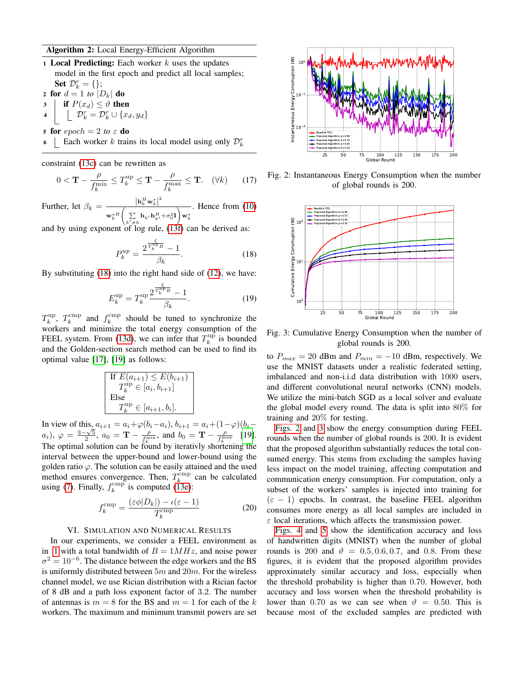## Algorithm 2: Local Energy-Efficient Algorithm

<span id="page-4-1"></span>1 Local Predicting: Each worker  $k$  uses the updates model in the first epoch and predict all local samples; Set  $\mathcal{D}_k^r = \{\};$ 

2 for  $d = 1$  to  $|D_k|$  do 3 if  $P(x_d) \leq \vartheta$  then  $\begin{array}{ccc} \texttt{4} & \Big| & \Big\downarrow & \mathcal{D}_k^r = \mathcal{D}_k^r \cup \{x_d, y_d\} \end{array}$ 

- 5 for  $epoch = 2$  *to*  $\epsilon$  **do**
- 6  $\Box$  Each worker k trains its local model using only  $\mathcal{D}_k^r$

constraint [\(13c\)](#page-3-2) can be rewritten as

$$
0 < \mathbf{T} - \frac{\rho}{f_k^{\min}} \le T_k^{\text{up}} \le \mathbf{T} - \frac{\rho}{f_k^{\max}} \le \mathbf{T}. \quad (\forall k) \tag{17}
$$

Further, let  $\beta_k = \frac{|\mathbf{h}_k^H \mathbf{w}_k^{\star}|^2}{\sqrt{k}}$  $\mathbf{w}_k^{\star\,H}$  $\left(\sum\limits_{k' \neq k}{\bf h}_{k'}{\bf h}_{k'}^H\!+\!\sigma_0^2{\bf I}\right)$ w $_k^{\star}$ . Hence from [\(10\)](#page-2-5)

and by using exponent of  $log$  rule, [\(13f\)](#page-3-5) can be derived as:

$$
P_k^{up} = \frac{2^{\frac{\xi}{T_k^{up}}} - 1}{\beta_k}.
$$
 (18)

By substituting [\(18\)](#page-4-2) into the right hand side of [\(12\)](#page-2-6), we have:

$$
E_k^{\rm up} = T_k^{\rm up} \frac{2^{\frac{\xi}{T_k^{\rm up} B}} - 1}{\beta_k}.
$$
 (19)

 $T_k^{\text{up}}, T_k^{\text{cmp}}$  and  $f_k^{\text{cmp}}$  should be tuned to synchronize the workers and minimize the total energy consumption of the FEEL system. From [\(13d\)](#page-3-3), we can infer that  $T_k^{\text{up}}$  is bounded and the Golden-section search method can be used to find its optimal value [\[17\]](#page-5-17), [\[19\]](#page-5-19) as follows:

If 
$$
E(a_{i+1}) \le E(b_{i+1})
$$
  
\n $T_k^{\text{up}} \in [a_i, b_{i+1}]$   
\nElse  
\n $T_k^{\text{up}} \in [a_{i+1}, b_i]$ .

In view of this,  $a_{i+1} = a_i + \varphi(b_i - a_i)$ ,  $b_{i+1} = a_i + (1 - \varphi)(b_i - a_i)$ a<sub>i</sub>),  $\varphi = \frac{3-\sqrt{5}}{2}$ ,  $a_0 = \mathbf{T} - \frac{\rho}{f_k^{\min}}$ , and  $b_0 = \mathbf{T} - \frac{\rho}{f_k^{\max}}$  [\[19\]](#page-5-19). The optimal solution can be found by iterativly shortening the interval between the upper-bound and lower-bound using the golden ratio  $\varphi$ . The solution can be easily attained and the used method ensures convergence. Then,  $T_k^{\text{cmp}}$  can be calculated using [\(7\)](#page-2-7). Finally,  $f_k^{\text{cmp}}$  is computed [\(13e\)](#page-3-4):

$$
f_k^{\text{cmp}} = \frac{(\varepsilon \phi | D_k|) - \iota(\varepsilon - 1)}{T_k^{\text{cmp}}}
$$
 (20)

## VI. SIMULATION AND NUMERICAL RESULTS

<span id="page-4-0"></span>In our experiments, we consider a FEEL environment as in [1](#page-1-2) with a total bandwidth of  $B = 1MHz$ , and noise power  $\sigma^2 = 10^{-6}$ . The distance between the edge workers and the BS is uniformly distributed between  $5m$  and  $20m$ . For the wireless channel model, we use Rician distribution with a Rician factor of 8 dB and a path loss exponent factor of 3.2. The number of antennas is  $m = 8$  for the BS and  $m = 1$  for each of the k workers. The maximum and minimum transmit powers are set

<span id="page-4-3"></span>

Fig. 2: Instantaneous Energy Consumption when the number of global rounds is 200.

<span id="page-4-4"></span><span id="page-4-2"></span>

Fig. 3: Cumulative Energy Consumption when the number of global rounds is 200.

to  $P_{max} = 20$  dBm and  $P_{min} = -10$  dBm, respectively. We use the MNIST datasets under a realistic federated setting, imbalanced and non-i.i.d data distribution with 1000 users, and different convolutional neural networks (CNN) models. We utilize the mini-batch SGD as a local solver and evaluate the global model every round. The data is split into 80% for training and 20% for testing.

[Figs. 2](#page-4-3) and [3](#page-4-4) show the energy consumption during FEEL rounds when the number of global rounds is 200. It is evident that the proposed algorithm substantially reduces the total consumed energy. This stems from excluding the samples having less impact on the model training, affecting computation and communication energy consumption. For computation, only a subset of the workers' samples is injected into training for  $(\varepsilon - 1)$  epochs. In contrast, the baseline FEEL algorithm consumes more energy as all local samples are included in  $\varepsilon$  local iterations, which affects the transmission power.

[Figs. 4](#page-5-20) and [5](#page-5-21) show the identification accuracy and loss of handwritten digits (MNIST) when the number of global rounds is 200 and  $\vartheta = 0.5, 0.6, 0.7,$  and 0.8. From these figures, it is evident that the proposed algorithm provides approximately similar accuracy and loss, especially when the threshold probability is higher than 0.70. However, both accuracy and loss worsen when the threshold probability is lower than 0.70 as we can see when  $\vartheta = 0.50$ . This is because most of the excluded samples are predicted with